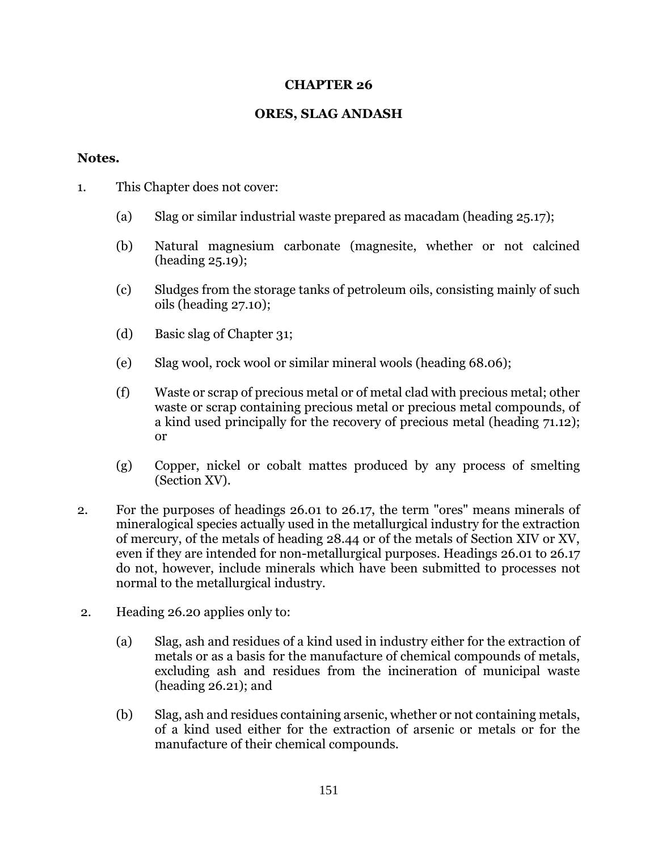## **CHAPTER 26**

## **ORES, SLAG ANDASH**

## **Notes.**

- 1. This Chapter does not cover:
	- (a) Slag or similar industrial waste prepared as macadam (heading 25.17);
	- (b) Natural magnesium carbonate (magnesite, whether or not calcined (heading 25.19);
	- (c) Sludges from the storage tanks of petroleum oils, consisting mainly of such oils (heading 27.10);
	- (d) Basic slag of Chapter 31;
	- (e) Slag wool, rock wool or similar mineral wools (heading 68.06);
	- (f) Waste or scrap of precious metal or of metal clad with precious metal; other waste or scrap containing precious metal or precious metal compounds, of a kind used principally for the recovery of precious metal (heading 71.12); or
	- (g) Copper, nickel or cobalt mattes produced by any process of smelting (Section XV).
- 2. For the purposes of headings 26.01 to 26.17, the term "ores" means minerals of mineralogical species actually used in the metallurgical industry for the extraction of mercury, of the metals of heading 28.44 or of the metals of Section XIV or XV, even if they are intended for non-metallurgical purposes. Headings 26.01 to 26.17 do not, however, include minerals which have been submitted to processes not normal to the metallurgical industry.
- 2. Heading 26.20 applies only to:
	- (a) Slag, ash and residues of a kind used in industry either for the extraction of metals or as a basis for the manufacture of chemical compounds of metals, excluding ash and residues from the incineration of municipal waste (heading 26.21); and
	- (b) Slag, ash and residues containing arsenic, whether or not containing metals, of a kind used either for the extraction of arsenic or metals or for the manufacture of their chemical compounds.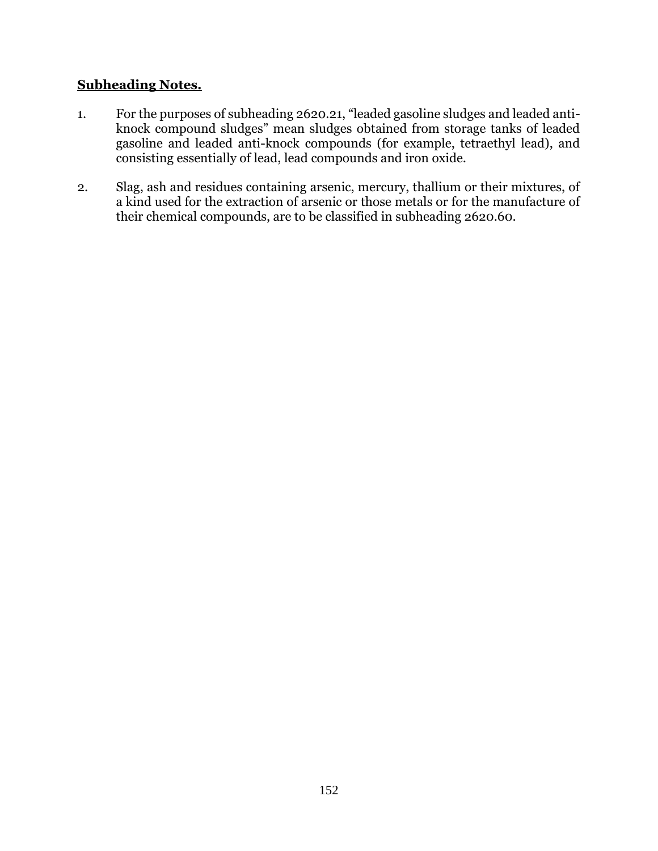## **Subheading Notes.**

- 1. For the purposes of subheading 2620.21, "leaded gasoline sludges and leaded antiknock compound sludges" mean sludges obtained from storage tanks of leaded gasoline and leaded anti-knock compounds (for example, tetraethyl lead), and consisting essentially of lead, lead compounds and iron oxide.
- 2. Slag, ash and residues containing arsenic, mercury, thallium or their mixtures, of a kind used for the extraction of arsenic or those metals or for the manufacture of their chemical compounds, are to be classified in subheading 2620.60.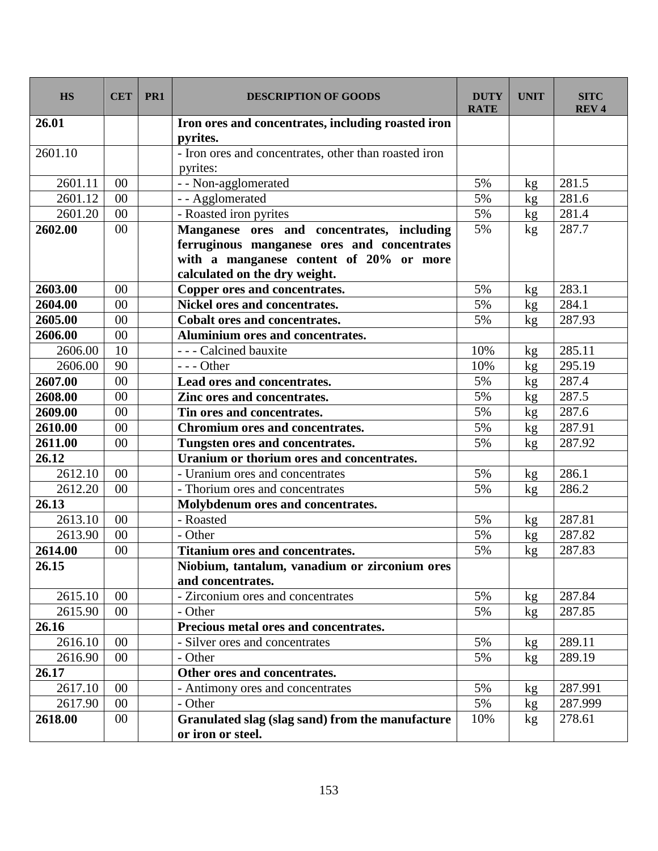| <b>HS</b> | <b>CET</b>     | PR <sub>1</sub> | <b>DESCRIPTION OF GOODS</b>                                           | <b>DUTY</b><br><b>RATE</b> | <b>UNIT</b>     | <b>SITC</b><br><b>REV4</b> |
|-----------|----------------|-----------------|-----------------------------------------------------------------------|----------------------------|-----------------|----------------------------|
| 26.01     |                |                 | Iron ores and concentrates, including roasted iron                    |                            |                 |                            |
|           |                |                 | pyrites.                                                              |                            |                 |                            |
| 2601.10   |                |                 | - Iron ores and concentrates, other than roasted iron                 |                            |                 |                            |
|           |                |                 | pyrites:                                                              |                            |                 |                            |
| 2601.11   | 00             |                 | - - Non-agglomerated                                                  | 5%                         | kg              | 281.5                      |
| 2601.12   | 00             |                 | - - Agglomerated                                                      | 5%                         | kg              | 281.6                      |
| 2601.20   | $00\,$         |                 | - Roasted iron pyrites                                                | 5%                         | kg              | 281.4                      |
| 2602.00   | 00             |                 | Manganese ores and concentrates, including                            | 5%                         | kg              | 287.7                      |
|           |                |                 | ferruginous manganese ores and concentrates                           |                            |                 |                            |
|           |                |                 | with a manganese content of 20% or more                               |                            |                 |                            |
|           |                |                 | calculated on the dry weight.                                         |                            |                 |                            |
| 2603.00   | 00             |                 | Copper ores and concentrates.                                         | 5%                         | kg              | 283.1                      |
| 2604.00   | 00             |                 | Nickel ores and concentrates.                                         | 5%                         | kg              | 284.1                      |
| 2605.00   | 00             |                 | <b>Cobalt ores and concentrates.</b>                                  | 5%                         | kg              | 287.93                     |
| 2606.00   | 00             |                 | Aluminium ores and concentrates.                                      |                            |                 |                            |
| 2606.00   | 10             |                 | - - - Calcined bauxite                                                | 10%                        | kg              | 285.11                     |
| 2606.00   | 90             |                 | $--$ Other                                                            | 10%                        | kg              | 295.19                     |
| 2607.00   | 00             |                 | Lead ores and concentrates.                                           | 5%                         | kg              | 287.4                      |
| 2608.00   | 00             |                 | Zinc ores and concentrates.                                           | 5%                         | kg              | 287.5                      |
| 2609.00   | 00             |                 | Tin ores and concentrates.                                            | 5%                         | kg              | 287.6                      |
| 2610.00   | 00             |                 | <b>Chromium ores and concentrates.</b>                                | 5%                         | kg              | 287.91                     |
| 2611.00   | 0 <sup>0</sup> |                 | Tungsten ores and concentrates.                                       | 5%                         | kg              | 287.92                     |
| 26.12     |                |                 | Uranium or thorium ores and concentrates.                             |                            |                 |                            |
| 2612.10   | 00             |                 | - Uranium ores and concentrates                                       | 5%                         | kg              | 286.1                      |
| 2612.20   | 00             |                 | - Thorium ores and concentrates                                       | 5%                         | kg              | 286.2                      |
| 26.13     |                |                 | Molybdenum ores and concentrates.                                     |                            |                 |                            |
| 2613.10   | 00             |                 | - Roasted                                                             | 5%                         | kg              | 287.81                     |
| 2613.90   | 00             |                 | - Other                                                               | 5%                         | kg              | 287.82                     |
| 2614.00   | 00             |                 | <b>Titanium ores and concentrates.</b>                                | 5%                         | kg              | 287.83                     |
| 26.15     |                |                 | Niobium, tantalum, vanadium or zirconium ores<br>and concentrates.    |                            |                 |                            |
| 2615.10   | $00\,$         |                 | - Zirconium ores and concentrates                                     | 5%                         | kg              | 287.84                     |
| 2615.90   | $00\,$         |                 | - Other                                                               | 5%                         | kg              | 287.85                     |
| 26.16     |                |                 | Precious metal ores and concentrates.                                 |                            |                 |                            |
| 2616.10   | $00\,$         |                 | - Silver ores and concentrates                                        | 5%                         | kg              | 289.11                     |
| 2616.90   | 00             |                 | - Other                                                               | 5%                         | kg              | 289.19                     |
| 26.17     |                |                 | Other ores and concentrates.                                          |                            |                 |                            |
| 2617.10   | $00\,$         |                 | - Antimony ores and concentrates                                      | 5%                         | kg              | 287.991                    |
| 2617.90   | $00\,$         |                 | - Other                                                               | 5%                         | kg <sub>2</sub> | 287.999                    |
| 2618.00   | $00\,$         |                 | Granulated slag (slag sand) from the manufacture<br>or iron or steel. | 10%                        | kg              | 278.61                     |